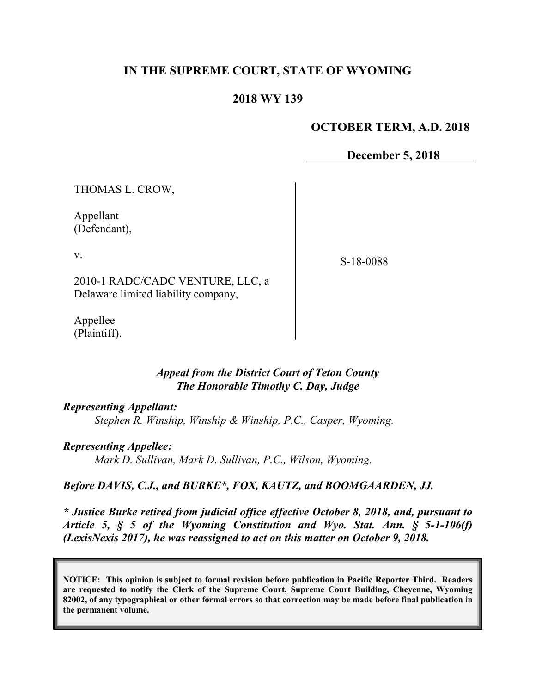# **IN THE SUPREME COURT, STATE OF WYOMING**

## **2018 WY 139**

## **OCTOBER TERM, A.D. 2018**

**December 5, 2018**

THOMAS L. CROW,

Appellant (Defendant),

v.

S-18-0088

2010-1 RADC/CADC VENTURE, LLC, a Delaware limited liability company,

Appellee (Plaintiff).

### *Appeal from the District Court of Teton County The Honorable Timothy C. Day, Judge*

#### *Representing Appellant:*

*Stephen R. Winship, Winship & Winship, P.C., Casper, Wyoming.*

### *Representing Appellee:*

*Mark D. Sullivan, Mark D. Sullivan, P.C., Wilson, Wyoming.*

### *Before DAVIS, C.J., and BURKE\*, FOX, KAUTZ, and BOOMGAARDEN, JJ.*

*\* Justice Burke retired from judicial office effective October 8, 2018, and, pursuant to Article 5, § 5 of the Wyoming Constitution and Wyo. Stat. Ann. § 5-1-106(f) (LexisNexis 2017), he was reassigned to act on this matter on October 9, 2018.*

**NOTICE: This opinion is subject to formal revision before publication in Pacific Reporter Third. Readers are requested to notify the Clerk of the Supreme Court, Supreme Court Building, Cheyenne, Wyoming 82002, of any typographical or other formal errors so that correction may be made before final publication in the permanent volume.**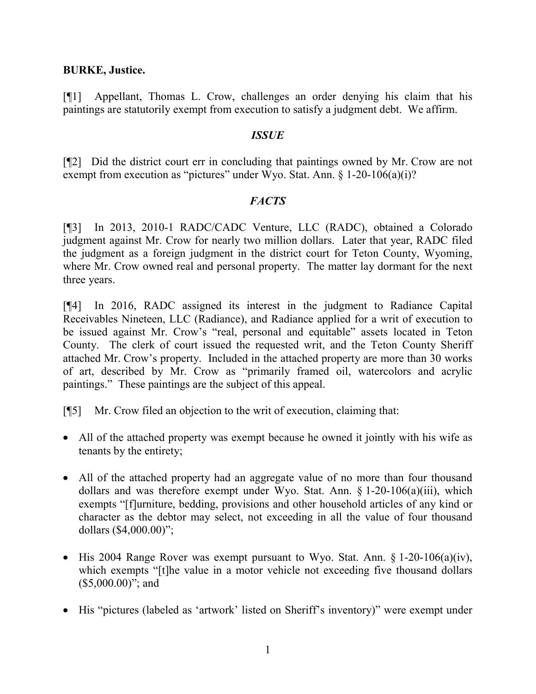### **BURKE, Justice.**

[¶1] Appellant, Thomas L. Crow, challenges an order denying his claim that his paintings are statutorily exempt from execution to satisfy a judgment debt. We affirm.

### *ISSUE*

[¶2] Did the district court err in concluding that paintings owned by Mr. Crow are not exempt from execution as "pictures" under Wyo. Stat. Ann. § 1-20-106(a)(i)?

## *FACTS*

[¶3] In 2013, 2010-1 RADC/CADC Venture, LLC (RADC), obtained a Colorado judgment against Mr. Crow for nearly two million dollars. Later that year, RADC filed the judgment as a foreign judgment in the district court for Teton County, Wyoming, where Mr. Crow owned real and personal property. The matter lay dormant for the next three years.

[¶4] In 2016, RADC assigned its interest in the judgment to Radiance Capital Receivables Nineteen, LLC (Radiance), and Radiance applied for a writ of execution to be issued against Mr. Crow's "real, personal and equitable" assets located in Teton County. The clerk of court issued the requested writ, and the Teton County Sheriff attached Mr. Crow's property. Included in the attached property are more than 30 works of art, described by Mr. Crow as "primarily framed oil, watercolors and acrylic paintings." These paintings are the subject of this appeal.

[¶5] Mr. Crow filed an objection to the writ of execution, claiming that:

- All of the attached property was exempt because he owned it jointly with his wife as tenants by the entirety;
- All of the attached property had an aggregate value of no more than four thousand dollars and was therefore exempt under Wyo. Stat. Ann. § 1-20-106(a)(iii), which exempts "[f]urniture, bedding, provisions and other household articles of any kind or character as the debtor may select, not exceeding in all the value of four thousand dollars (\$4,000.00)";
- His 2004 Range Rover was exempt pursuant to Wyo. Stat. Ann.  $\S 1-20-106(a)(iv)$ , which exempts "[t]he value in a motor vehicle not exceeding five thousand dollars  $($5,000.00)$ "; and
- His "pictures (labeled as 'artwork' listed on Sheriff's inventory)" were exempt under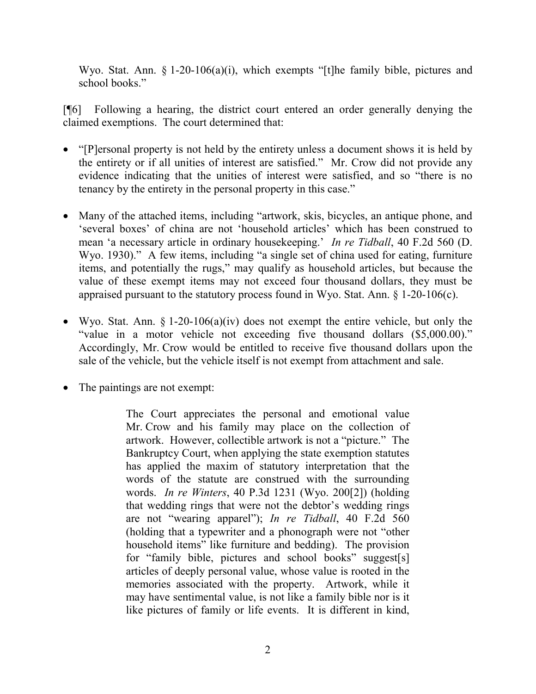Wyo. Stat. Ann. § 1-20-106(a)(i), which exempts "[t]he family bible, pictures and school books."

[¶6] Following a hearing, the district court entered an order generally denying the claimed exemptions. The court determined that:

- "[P]ersonal property is not held by the entirety unless a document shows it is held by the entirety or if all unities of interest are satisfied." Mr. Crow did not provide any evidence indicating that the unities of interest were satisfied, and so "there is no tenancy by the entirety in the personal property in this case."
- Many of the attached items, including "artwork, skis, bicycles, an antique phone, and 'several boxes' of china are not 'household articles' which has been construed to mean 'a necessary article in ordinary housekeeping.' *In re Tidball*, 40 F.2d 560 (D. Wyo. 1930)." A few items, including "a single set of china used for eating, furniture items, and potentially the rugs," may qualify as household articles, but because the value of these exempt items may not exceed four thousand dollars, they must be appraised pursuant to the statutory process found in Wyo. Stat. Ann. § 1-20-106(c).
- Wyo. Stat. Ann.  $\S 1-20-106(a)(iv)$  does not exempt the entire vehicle, but only the "value in a motor vehicle not exceeding five thousand dollars (\$5,000.00)." Accordingly, Mr. Crow would be entitled to receive five thousand dollars upon the sale of the vehicle, but the vehicle itself is not exempt from attachment and sale.
- The paintings are not exempt:

The Court appreciates the personal and emotional value Mr. Crow and his family may place on the collection of artwork. However, collectible artwork is not a "picture." The Bankruptcy Court, when applying the state exemption statutes has applied the maxim of statutory interpretation that the words of the statute are construed with the surrounding words. *In re Winters*, 40 P.3d 1231 (Wyo. 200[2]) (holding that wedding rings that were not the debtor's wedding rings are not "wearing apparel"); *In re Tidball*, 40 F.2d 560 (holding that a typewriter and a phonograph were not "other household items" like furniture and bedding). The provision for "family bible, pictures and school books" suggest[s] articles of deeply personal value, whose value is rooted in the memories associated with the property. Artwork, while it may have sentimental value, is not like a family bible nor is it like pictures of family or life events. It is different in kind,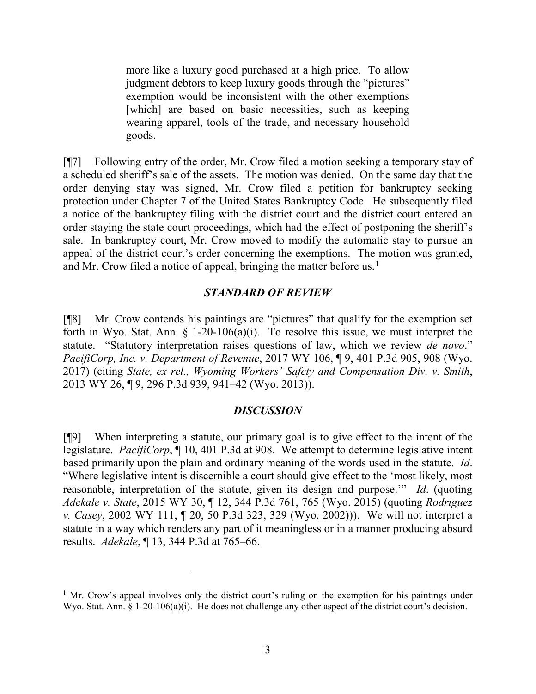more like a luxury good purchased at a high price. To allow judgment debtors to keep luxury goods through the "pictures" exemption would be inconsistent with the other exemptions [which] are based on basic necessities, such as keeping wearing apparel, tools of the trade, and necessary household goods.

[¶7] Following entry of the order, Mr. Crow filed a motion seeking a temporary stay of a scheduled sheriff's sale of the assets. The motion was denied. On the same day that the order denying stay was signed, Mr. Crow filed a petition for bankruptcy seeking protection under Chapter 7 of the United States Bankruptcy Code. He subsequently filed a notice of the bankruptcy filing with the district court and the district court entered an order staying the state court proceedings, which had the effect of postponing the sheriff's sale. In bankruptcy court, Mr. Crow moved to modify the automatic stay to pursue an appeal of the district court's order concerning the exemptions. The motion was granted, and Mr. Crow filed a notice of appeal, bringing the matter before us.<sup>[1](#page-3-0)</sup>

## *STANDARD OF REVIEW*

[¶8] Mr. Crow contends his paintings are "pictures" that qualify for the exemption set forth in Wyo. Stat. Ann.  $\S$  1-20-106(a)(i). To resolve this issue, we must interpret the statute. "Statutory interpretation raises questions of law, which we review *de novo*." *PacifiCorp, Inc. v. Department of Revenue*, 2017 WY 106, ¶ 9, 401 P.3d 905, 908 (Wyo. 2017) (citing *State, ex rel., Wyoming Workers' Safety and Compensation Div. v. Smith*, 2013 WY 26, ¶ 9, 296 P.3d 939, 941–42 (Wyo. 2013)).

### *DISCUSSION*

[¶9] When interpreting a statute, our primary goal is to give effect to the intent of the legislature. *PacifiCorp*, ¶ 10, 401 P.3d at 908. We attempt to determine legislative intent based primarily upon the plain and ordinary meaning of the words used in the statute. *Id*. "Where legislative intent is discernible a court should give effect to the 'most likely, most reasonable, interpretation of the statute, given its design and purpose.'" *Id*. (quoting *Adekale v. State*, 2015 WY 30, ¶ 12, 344 P.3d 761, 765 (Wyo. 2015) (quoting *Rodriguez v. Casey*, 2002 WY 111, ¶ 20, 50 P.3d 323, 329 (Wyo. 2002))). We will not interpret a statute in a way which renders any part of it meaningless or in a manner producing absurd results. *Adekale*, ¶ 13, 344 P.3d at 765–66.

 $\overline{a}$ 

<span id="page-3-0"></span><sup>&</sup>lt;sup>1</sup> Mr. Crow's appeal involves only the district court's ruling on the exemption for his paintings under Wyo. Stat. Ann. § 1-20-106(a)(i). He does not challenge any other aspect of the district court's decision.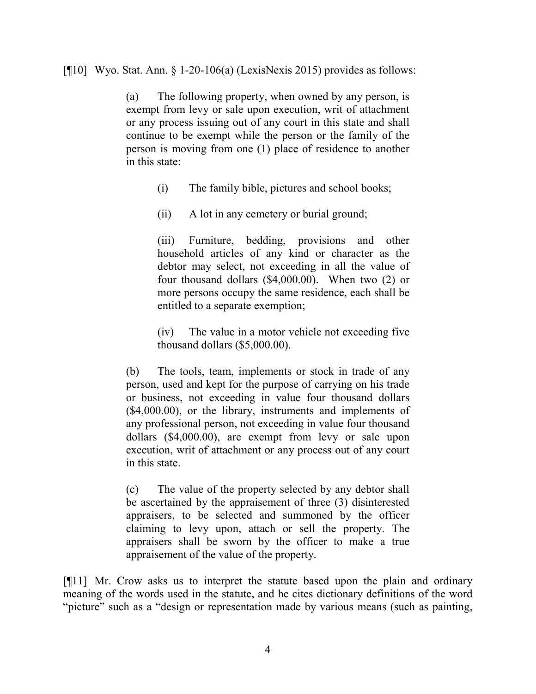[ $[10]$  Wyo. Stat. Ann. § 1-20-106(a) (LexisNexis 2015) provides as follows:

(a) The following property, when owned by any person, is exempt from levy or sale upon execution, writ of attachment or any process issuing out of any court in this state and shall continue to be exempt while the person or the family of the person is moving from one (1) place of residence to another in this state:

- (i) The family bible, pictures and school books;
- (ii) A lot in any cemetery or burial ground;

(iii) Furniture, bedding, provisions and other household articles of any kind or character as the debtor may select, not exceeding in all the value of four thousand dollars (\$4,000.00). When two (2) or more persons occupy the same residence, each shall be entitled to a separate exemption;

(iv) The value in a motor vehicle not exceeding five thousand dollars (\$5,000.00).

(b) The tools, team, implements or stock in trade of any person, used and kept for the purpose of carrying on his trade or business, not exceeding in value four thousand dollars (\$4,000.00), or the library, instruments and implements of any professional person, not exceeding in value four thousand dollars (\$4,000.00), are exempt from levy or sale upon execution, writ of attachment or any process out of any court in this state.

(c) The value of the property selected by any debtor shall be ascertained by the appraisement of three (3) disinterested appraisers, to be selected and summoned by the officer claiming to levy upon, attach or sell the property. The appraisers shall be sworn by the officer to make a true appraisement of the value of the property.

[¶11] Mr. Crow asks us to interpret the statute based upon the plain and ordinary meaning of the words used in the statute, and he cites dictionary definitions of the word "picture" such as a "design or representation made by various means (such as painting,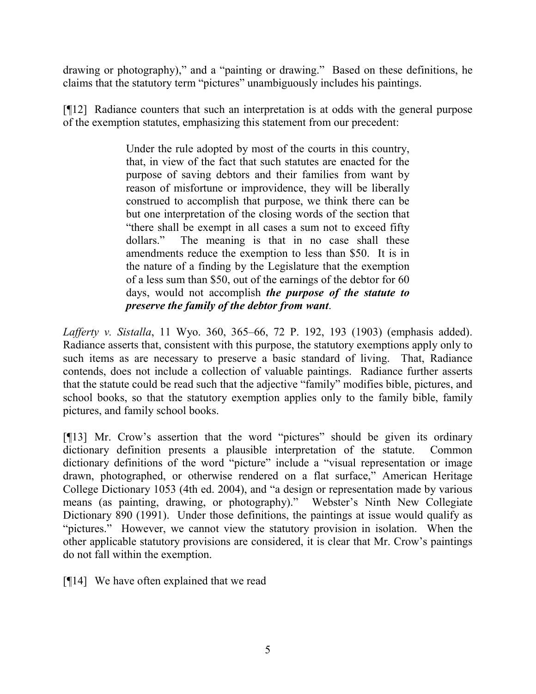drawing or photography)," and a "painting or drawing." Based on these definitions, he claims that the statutory term "pictures" unambiguously includes his paintings.

[¶12] Radiance counters that such an interpretation is at odds with the general purpose of the exemption statutes, emphasizing this statement from our precedent:

> Under the rule adopted by most of the courts in this country, that, in view of the fact that such statutes are enacted for the purpose of saving debtors and their families from want by reason of misfortune or improvidence, they will be liberally construed to accomplish that purpose, we think there can be but one interpretation of the closing words of the section that "there shall be exempt in all cases a sum not to exceed fifty dollars." The meaning is that in no case shall these amendments reduce the exemption to less than \$50. It is in the nature of a finding by the Legislature that the exemption of a less sum than \$50, out of the earnings of the debtor for 60 days, would not accomplish *the purpose of the statute to preserve the family of the debtor from want*.

*Lafferty v. Sistalla*, 11 Wyo. 360, 365–66, 72 P. 192, 193 (1903) (emphasis added). Radiance asserts that, consistent with this purpose, the statutory exemptions apply only to such items as are necessary to preserve a basic standard of living. That, Radiance contends, does not include a collection of valuable paintings. Radiance further asserts that the statute could be read such that the adjective "family" modifies bible, pictures, and school books, so that the statutory exemption applies only to the family bible, family pictures, and family school books.

[¶13] Mr. Crow's assertion that the word "pictures" should be given its ordinary dictionary definition presents a plausible interpretation of the statute. Common dictionary definitions of the word "picture" include a "visual representation or image drawn, photographed, or otherwise rendered on a flat surface," American Heritage College Dictionary 1053 (4th ed. 2004), and "a design or representation made by various means (as painting, drawing, or photography)." Webster's Ninth New Collegiate Dictionary 890 (1991). Under those definitions, the paintings at issue would qualify as "pictures." However, we cannot view the statutory provision in isolation. When the other applicable statutory provisions are considered, it is clear that Mr. Crow's paintings do not fall within the exemption.

[¶14] We have often explained that we read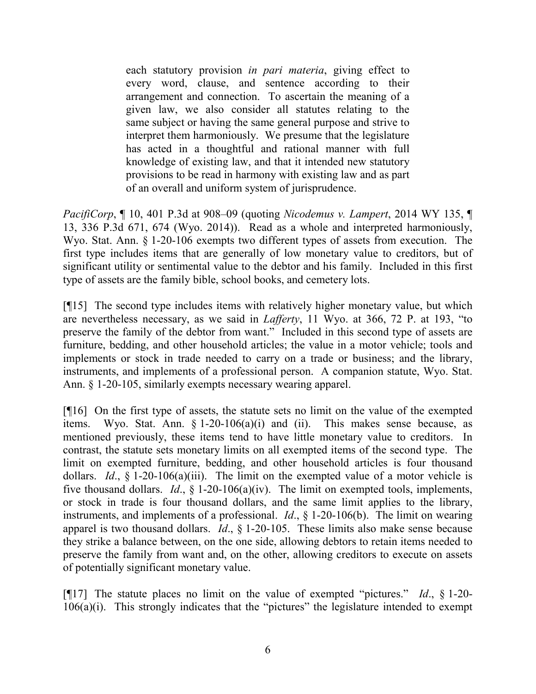each statutory provision *in pari materia*, giving effect to every word, clause, and sentence according to their arrangement and connection. To ascertain the meaning of a given law, we also consider all statutes relating to the same subject or having the same general purpose and strive to interpret them harmoniously. We presume that the legislature has acted in a thoughtful and rational manner with full knowledge of existing law, and that it intended new statutory provisions to be read in harmony with existing law and as part of an overall and uniform system of jurisprudence.

*PacifiCorp*, ¶ 10, 401 P.3d at 908–09 (quoting *Nicodemus v. Lampert*, 2014 WY 135, ¶ 13, 336 P.3d 671, 674 (Wyo. 2014)). Read as a whole and interpreted harmoniously, Wyo. Stat. Ann. § 1-20-106 exempts two different types of assets from execution. The first type includes items that are generally of low monetary value to creditors, but of significant utility or sentimental value to the debtor and his family. Included in this first type of assets are the family bible, school books, and cemetery lots.

[¶15] The second type includes items with relatively higher monetary value, but which are nevertheless necessary, as we said in *Lafferty*, 11 Wyo. at 366, 72 P. at 193, "to preserve the family of the debtor from want." Included in this second type of assets are furniture, bedding, and other household articles; the value in a motor vehicle; tools and implements or stock in trade needed to carry on a trade or business; and the library, instruments, and implements of a professional person. A companion statute, Wyo. Stat. Ann. § 1-20-105, similarly exempts necessary wearing apparel.

[¶16] On the first type of assets, the statute sets no limit on the value of the exempted items. Wyo. Stat. Ann.  $\S 1-20-106(a)(i)$  and (ii). This makes sense because, as mentioned previously, these items tend to have little monetary value to creditors. In contrast, the statute sets monetary limits on all exempted items of the second type. The limit on exempted furniture, bedding, and other household articles is four thousand dollars. *Id*., § 1-20-106(a)(iii). The limit on the exempted value of a motor vehicle is five thousand dollars. *Id*., § 1-20-106(a)(iv). The limit on exempted tools, implements, or stock in trade is four thousand dollars, and the same limit applies to the library, instruments, and implements of a professional. *Id*., § 1-20-106(b). The limit on wearing apparel is two thousand dollars. *Id*., § 1-20-105. These limits also make sense because they strike a balance between, on the one side, allowing debtors to retain items needed to preserve the family from want and, on the other, allowing creditors to execute on assets of potentially significant monetary value.

[¶17] The statute places no limit on the value of exempted "pictures." *Id*., § 1-20- 106(a)(i). This strongly indicates that the "pictures" the legislature intended to exempt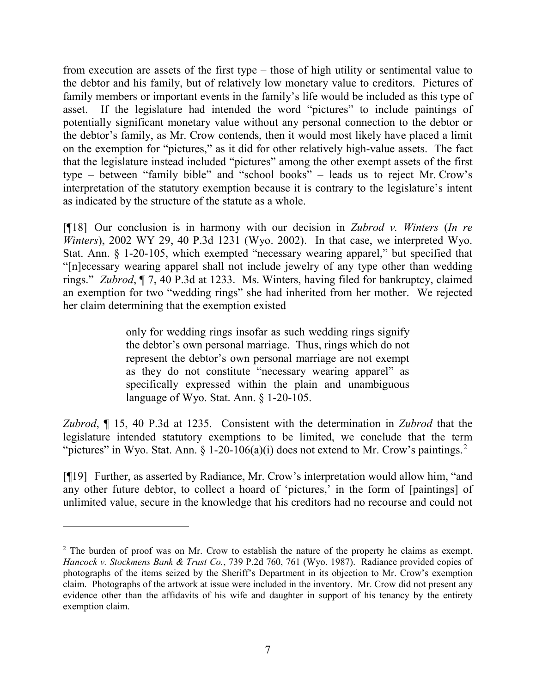from execution are assets of the first type – those of high utility or sentimental value to the debtor and his family, but of relatively low monetary value to creditors. Pictures of family members or important events in the family's life would be included as this type of asset. If the legislature had intended the word "pictures" to include paintings of potentially significant monetary value without any personal connection to the debtor or the debtor's family, as Mr. Crow contends, then it would most likely have placed a limit on the exemption for "pictures," as it did for other relatively high-value assets. The fact that the legislature instead included "pictures" among the other exempt assets of the first type – between "family bible" and "school books" – leads us to reject Mr. Crow's interpretation of the statutory exemption because it is contrary to the legislature's intent as indicated by the structure of the statute as a whole.

[¶18] Our conclusion is in harmony with our decision in *Zubrod v. Winters* (*In re Winters*), 2002 WY 29, 40 P.3d 1231 (Wyo. 2002). In that case, we interpreted Wyo. Stat. Ann. § 1-20-105, which exempted "necessary wearing apparel," but specified that "[n]ecessary wearing apparel shall not include jewelry of any type other than wedding rings." *Zubrod*, ¶ 7, 40 P.3d at 1233. Ms. Winters, having filed for bankruptcy, claimed an exemption for two "wedding rings" she had inherited from her mother. We rejected her claim determining that the exemption existed

> only for wedding rings insofar as such wedding rings signify the debtor's own personal marriage. Thus, rings which do not represent the debtor's own personal marriage are not exempt as they do not constitute "necessary wearing apparel" as specifically expressed within the plain and unambiguous language of Wyo. Stat. Ann. § 1-20-105.

*Zubrod*, ¶ 15, 40 P.3d at 1235. Consistent with the determination in *Zubrod* that the legislature intended statutory exemptions to be limited, we conclude that the term "pictures" in Wyo. Stat. Ann. § 1-[2](#page-7-0)0-106(a)(i) does not extend to Mr. Crow's paintings.<sup>2</sup>

[¶19] Further, as asserted by Radiance, Mr. Crow's interpretation would allow him, "and any other future debtor, to collect a hoard of 'pictures,' in the form of [paintings] of unlimited value, secure in the knowledge that his creditors had no recourse and could not

 $\overline{a}$ 

<span id="page-7-0"></span><sup>&</sup>lt;sup>2</sup> The burden of proof was on Mr. Crow to establish the nature of the property he claims as exempt. *Hancock v. Stockmens Bank & Trust Co.*, 739 P.2d 760, 761 (Wyo. 1987). Radiance provided copies of photographs of the items seized by the Sheriff's Department in its objection to Mr. Crow's exemption claim. Photographs of the artwork at issue were included in the inventory. Mr. Crow did not present any evidence other than the affidavits of his wife and daughter in support of his tenancy by the entirety exemption claim.